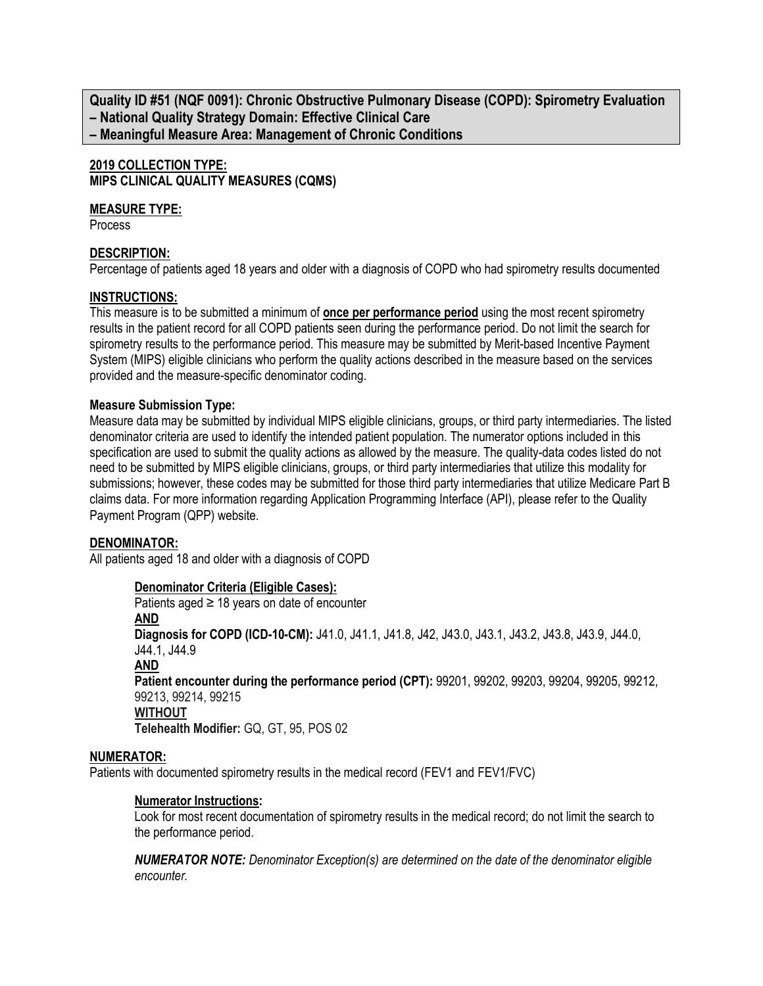**Quality ID #51 (NQF 0091): Chronic Obstructive Pulmonary Disease (COPD): Spirometry Evaluation – National Quality Strategy Domain: Effective Clinical Care – Meaningful Measure Area: Management of Chronic Conditions**

## **2019 COLLECTION TYPE: MIPS CLINICAL QUALITY MEASURES (CQMS)**

## **MEASURE TYPE:**

**Process** 

## **DESCRIPTION:**

Percentage of patients aged 18 years and older with a diagnosis of COPD who had spirometry results documented

## **INSTRUCTIONS:**

This measure is to be submitted a minimum of **once per performance period** using the most recent spirometry results in the patient record for all COPD patients seen during the performance period. Do not limit the search for spirometry results to the performance period. This measure may be submitted by Merit-based Incentive Payment System (MIPS) eligible clinicians who perform the quality actions described in the measure based on the services provided and the measure-specific denominator coding.

## **Measure Submission Type:**

Measure data may be submitted by individual MIPS eligible clinicians, groups, or third party intermediaries. The listed denominator criteria are used to identify the intended patient population. The numerator options included in this specification are used to submit the quality actions as allowed by the measure. The quality-data codes listed do not need to be submitted by MIPS eligible clinicians, groups, or third party intermediaries that utilize this modality for submissions; however, these codes may be submitted for those third party intermediaries that utilize Medicare Part B claims data. For more information regarding Application Programming Interface (API), please refer to the Quality Payment Program (QPP) website.

### **DENOMINATOR:**

All patients aged 18 and older with a diagnosis of COPD

### **Denominator Criteria (Eligible Cases):**

Patients aged  $\geq$  18 years on date of encounter **AND Diagnosis for COPD (ICD-10-CM):** J41.0, J41.1, J41.8, J42, J43.0, J43.1, J43.2, J43.8, J43.9, J44.0, J44.1, J44.9 **AND Patient encounter during the performance period (CPT):** 99201, 99202, 99203, 99204, 99205, 99212, 99213, 99214, 99215 **WITHOUT Telehealth Modifier:** GQ, GT, 95, POS 02

### **NUMERATOR:**

Patients with documented spirometry results in the medical record (FEV1 and FEV1/FVC)

### **Numerator Instructions:**

Look for most recent documentation of spirometry results in the medical record; do not limit the search to the performance period.

*NUMERATOR NOTE: Denominator Exception(s) are determined on the date of the denominator eligible encounter.*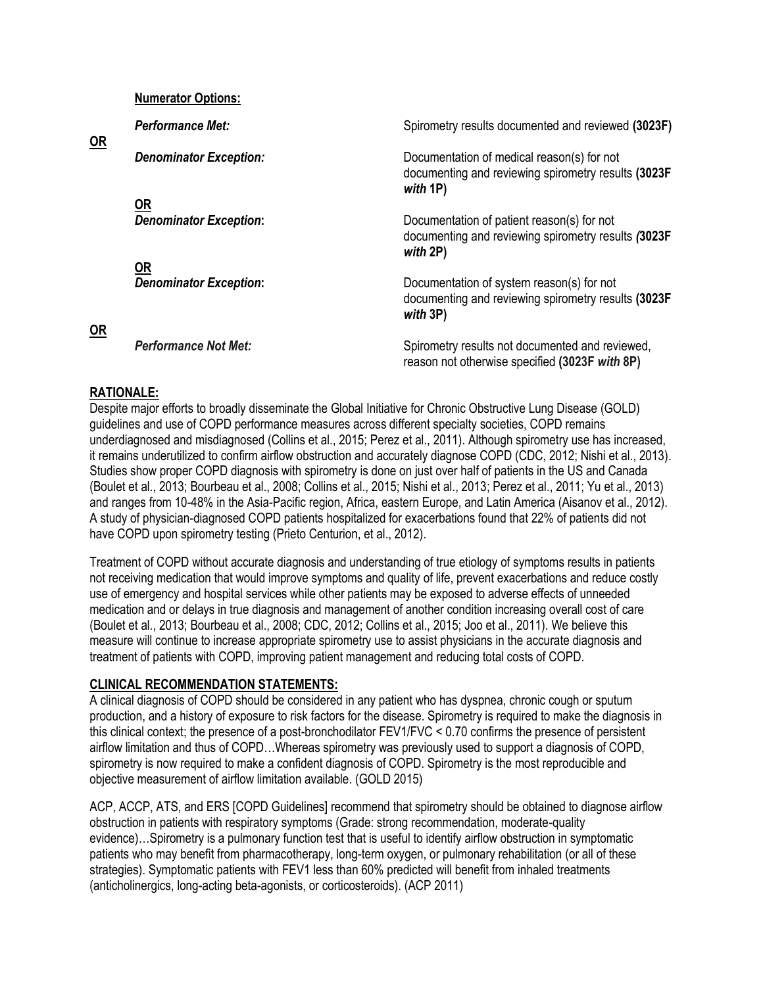#### **Numerator Options:**

| OR        | <b>Performance Met:</b>       | Spirometry results documented and reviewed (3023F)                                                             |  |  |  |  |
|-----------|-------------------------------|----------------------------------------------------------------------------------------------------------------|--|--|--|--|
|           | <b>Denominator Exception:</b> | Documentation of medical reason(s) for not<br>documenting and reviewing spirometry results (3023F<br>with 1P)  |  |  |  |  |
|           | $OR$                          |                                                                                                                |  |  |  |  |
|           | <b>Denominator Exception:</b> | Documentation of patient reason(s) for not<br>documenting and reviewing spirometry results (3023F)<br>with 2P) |  |  |  |  |
|           | 0R                            |                                                                                                                |  |  |  |  |
| <b>OR</b> | <b>Denominator Exception:</b> | Documentation of system reason(s) for not<br>documenting and reviewing spirometry results (3023F)<br>with 3P)  |  |  |  |  |
|           |                               |                                                                                                                |  |  |  |  |
|           | <b>Performance Not Met:</b>   | Spirometry results not documented and reviewed,<br>reason not otherwise specified (3023F with 8P)              |  |  |  |  |

### **RATIONALE:**

Despite major efforts to broadly disseminate the Global Initiative for Chronic Obstructive Lung Disease (GOLD) guidelines and use of COPD performance measures across different specialty societies, COPD remains underdiagnosed and misdiagnosed (Collins et al., 2015; Perez et al., 2011). Although spirometry use has increased, it remains underutilized to confirm airflow obstruction and accurately diagnose COPD (CDC, 2012; Nishi et al., 2013). Studies show proper COPD diagnosis with spirometry is done on just over half of patients in the US and Canada (Boulet et al., 2013; Bourbeau et al., 2008; Collins et al., 2015; Nishi et al., 2013; Perez et al., 2011; Yu et al., 2013) and ranges from 10-48% in the Asia-Pacific region, Africa, eastern Europe, and Latin America (Aisanov et al., 2012). A study of physician-diagnosed COPD patients hospitalized for exacerbations found that 22% of patients did not have COPD upon spirometry testing (Prieto Centurion, et al., 2012).

Treatment of COPD without accurate diagnosis and understanding of true etiology of symptoms results in patients not receiving medication that would improve symptoms and quality of life, prevent exacerbations and reduce costly use of emergency and hospital services while other patients may be exposed to adverse effects of unneeded medication and or delays in true diagnosis and management of another condition increasing overall cost of care (Boulet et al., 2013; Bourbeau et al., 2008; CDC, 2012; Collins et al., 2015; Joo et al., 2011). We believe this measure will continue to increase appropriate spirometry use to assist physicians in the accurate diagnosis and treatment of patients with COPD, improving patient management and reducing total costs of COPD.

### **CLINICAL RECOMMENDATION STATEMENTS:**

A clinical diagnosis of COPD should be considered in any patient who has dyspnea, chronic cough or sputum production, and a history of exposure to risk factors for the disease. Spirometry is required to make the diagnosis in this clinical context; the presence of a post-bronchodilator FEV1/FVC < 0.70 confirms the presence of persistent airflow limitation and thus of COPD…Whereas spirometry was previously used to support a diagnosis of COPD, spirometry is now required to make a confident diagnosis of COPD. Spirometry is the most reproducible and objective measurement of airflow limitation available. (GOLD 2015)

ACP, ACCP, ATS, and ERS [COPD Guidelines] recommend that spirometry should be obtained to diagnose airflow obstruction in patients with respiratory symptoms (Grade: strong recommendation, moderate-quality evidence)…Spirometry is a pulmonary function test that is useful to identify airflow obstruction in symptomatic patients who may benefit from pharmacotherapy, long-term oxygen, or pulmonary rehabilitation (or all of these strategies). Symptomatic patients with FEV1 less than 60% predicted will benefit from inhaled treatments (anticholinergics, long-acting beta-agonists, or corticosteroids). (ACP 2011)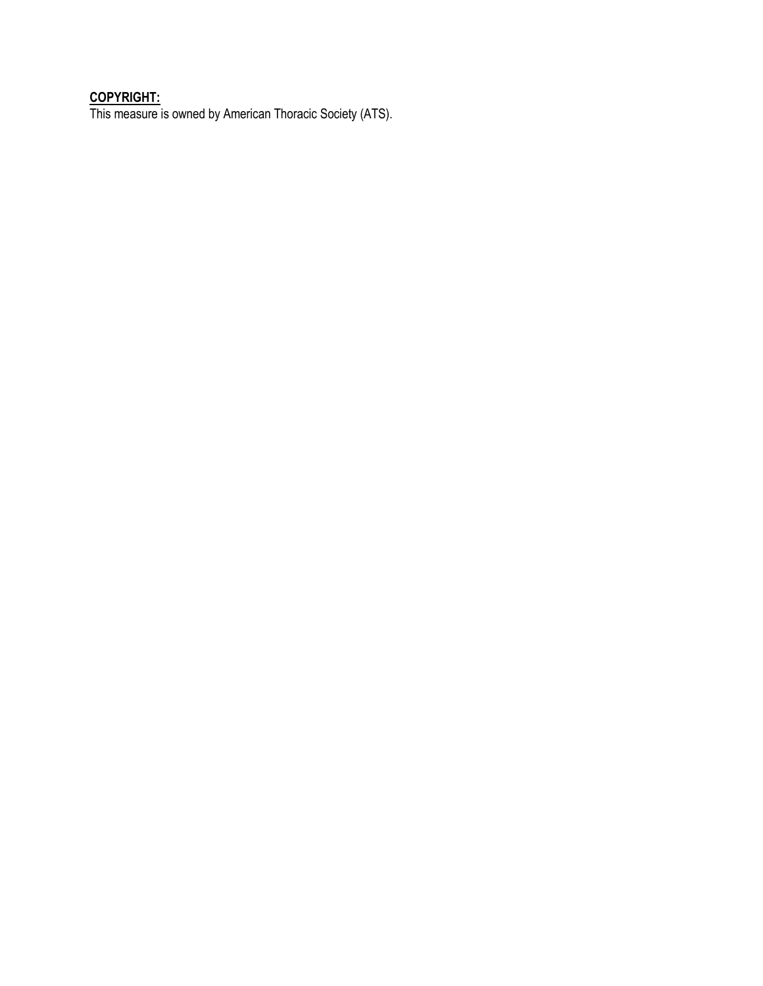### **COPYRIGHT:**

This measure is owned by American Thoracic Society (ATS).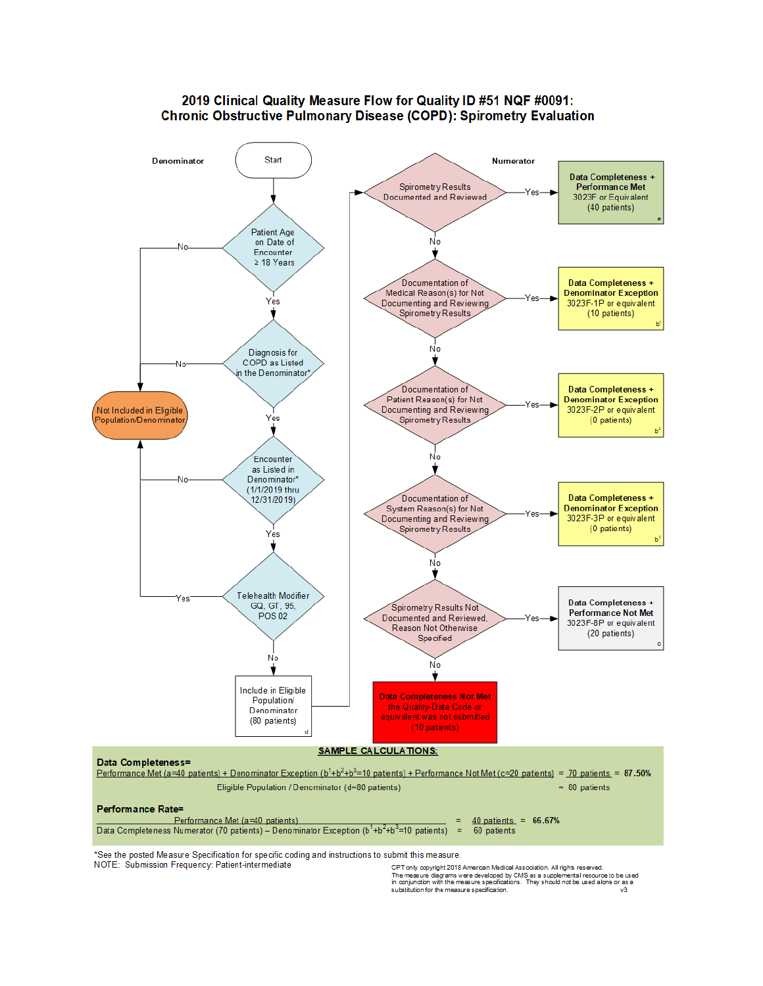#### 2019 Clinical Quality Measure Flow for Quality ID #51 NQF #0091: **Chronic Obstructive Pulmonary Disease (COPD): Spirometry Evaluation**



\*See the posted Measure Specification for specific coding and instructions to submit this measure. NOTE: Submission Frequency: Patient-intermediate

CPT only copyright 2018 American Medical Association. All rights reserved.<br>The measure diagrams were developed by CMS as a supplemental resource to be used<br>in conjunction with the measure specifications. They should not be substitution for the measure specification. va.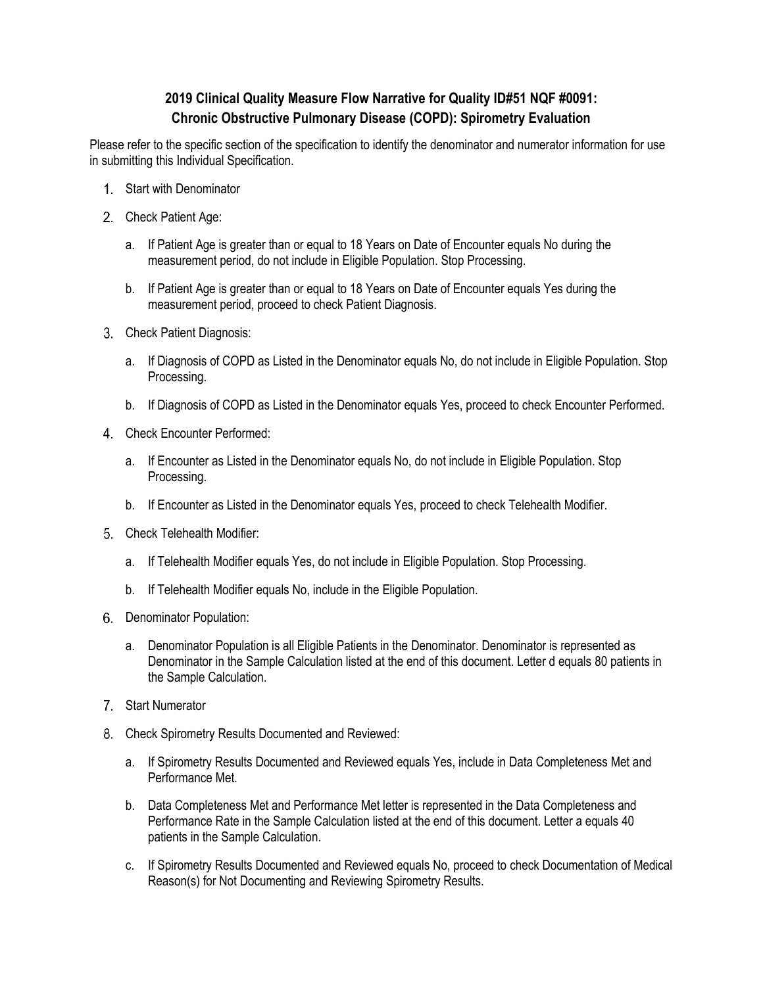# **2019 Clinical Quality Measure Flow Narrative for Quality ID#51 NQF #0091: Chronic Obstructive Pulmonary Disease (COPD): Spirometry Evaluation**

Please refer to the specific section of the specification to identify the denominator and numerator information for use in submitting this Individual Specification.

- Start with Denominator
- 2. Check Patient Age:
	- a. If Patient Age is greater than or equal to 18 Years on Date of Encounter equals No during the measurement period, do not include in Eligible Population. Stop Processing.
	- b. If Patient Age is greater than or equal to 18 Years on Date of Encounter equals Yes during the measurement period, proceed to check Patient Diagnosis.
- 3. Check Patient Diagnosis:
	- a. If Diagnosis of COPD as Listed in the Denominator equals No, do not include in Eligible Population. Stop Processing.
	- b. If Diagnosis of COPD as Listed in the Denominator equals Yes, proceed to check Encounter Performed.
- Check Encounter Performed:
	- a. If Encounter as Listed in the Denominator equals No, do not include in Eligible Population. Stop Processing.
	- b. If Encounter as Listed in the Denominator equals Yes, proceed to check Telehealth Modifier.
- Check Telehealth Modifier:
	- a. If Telehealth Modifier equals Yes, do not include in Eligible Population. Stop Processing.
	- b. If Telehealth Modifier equals No, include in the Eligible Population.
- 6. Denominator Population:
	- a. Denominator Population is all Eligible Patients in the Denominator. Denominator is represented as Denominator in the Sample Calculation listed at the end of this document. Letter d equals 80 patients in the Sample Calculation.
- 7. Start Numerator
- Check Spirometry Results Documented and Reviewed:
	- a. If Spirometry Results Documented and Reviewed equals Yes, include in Data Completeness Met and Performance Met.
	- b. Data Completeness Met and Performance Met letter is represented in the Data Completeness and Performance Rate in the Sample Calculation listed at the end of this document. Letter a equals 40 patients in the Sample Calculation.
	- c. If Spirometry Results Documented and Reviewed equals No, proceed to check Documentation of Medical Reason(s) for Not Documenting and Reviewing Spirometry Results.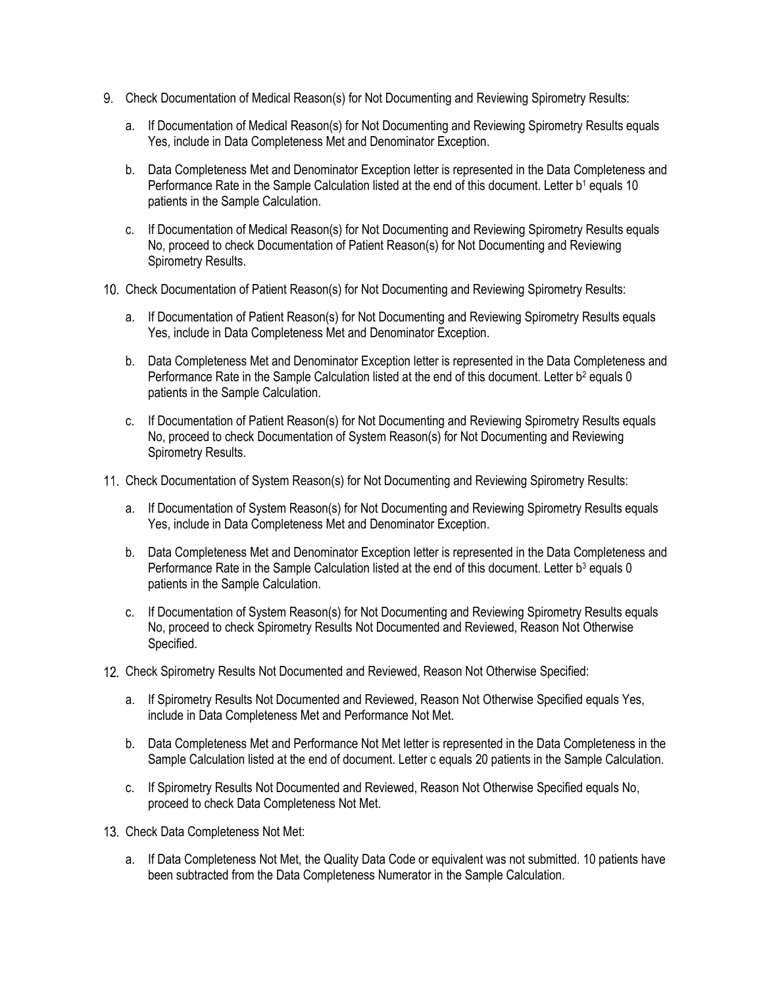- Check Documentation of Medical Reason(s) for Not Documenting and Reviewing Spirometry Results:
	- a. If Documentation of Medical Reason(s) for Not Documenting and Reviewing Spirometry Results equals Yes, include in Data Completeness Met and Denominator Exception.
	- b. Data Completeness Met and Denominator Exception letter is represented in the Data Completeness and Performance Rate in the Sample Calculation listed at the end of this document. Letter b<sup>1</sup> equals 10 patients in the Sample Calculation.
	- c. If Documentation of Medical Reason(s) for Not Documenting and Reviewing Spirometry Results equals No, proceed to check Documentation of Patient Reason(s) for Not Documenting and Reviewing Spirometry Results.
- Check Documentation of Patient Reason(s) for Not Documenting and Reviewing Spirometry Results:
	- a. If Documentation of Patient Reason(s) for Not Documenting and Reviewing Spirometry Results equals Yes, include in Data Completeness Met and Denominator Exception.
	- b. Data Completeness Met and Denominator Exception letter is represented in the Data Completeness and Performance Rate in the Sample Calculation listed at the end of this document. Letter b<sup>2</sup> equals 0 patients in the Sample Calculation.
	- c. If Documentation of Patient Reason(s) for Not Documenting and Reviewing Spirometry Results equals No, proceed to check Documentation of System Reason(s) for Not Documenting and Reviewing Spirometry Results.
- Check Documentation of System Reason(s) for Not Documenting and Reviewing Spirometry Results:
	- a. If Documentation of System Reason(s) for Not Documenting and Reviewing Spirometry Results equals Yes, include in Data Completeness Met and Denominator Exception.
	- b. Data Completeness Met and Denominator Exception letter is represented in the Data Completeness and Performance Rate in the Sample Calculation listed at the end of this document. Letter b<sup>3</sup> equals 0 patients in the Sample Calculation.
	- c. If Documentation of System Reason(s) for Not Documenting and Reviewing Spirometry Results equals No, proceed to check Spirometry Results Not Documented and Reviewed, Reason Not Otherwise Specified.
- 12. Check Spirometry Results Not Documented and Reviewed, Reason Not Otherwise Specified:
	- a. If Spirometry Results Not Documented and Reviewed, Reason Not Otherwise Specified equals Yes, include in Data Completeness Met and Performance Not Met.
	- b. Data Completeness Met and Performance Not Met letter is represented in the Data Completeness in the Sample Calculation listed at the end of document. Letter c equals 20 patients in the Sample Calculation.
	- c. If Spirometry Results Not Documented and Reviewed, Reason Not Otherwise Specified equals No, proceed to check Data Completeness Not Met.
- 13. Check Data Completeness Not Met:
	- a. If Data Completeness Not Met, the Quality Data Code or equivalent was not submitted. 10 patients have been subtracted from the Data Completeness Numerator in the Sample Calculation.